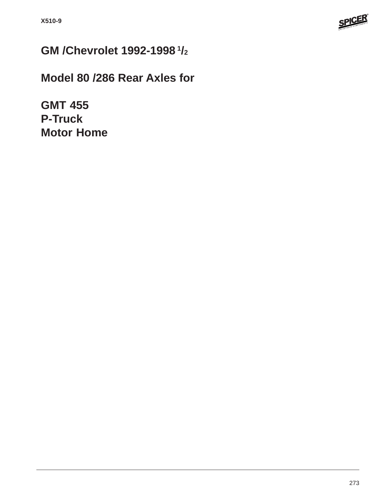

# **GM /Chevrolet 1992-1998 1/2**

# **Model 80 /286 Rear Axles for**

**GMT 455 P-Truck Motor Home**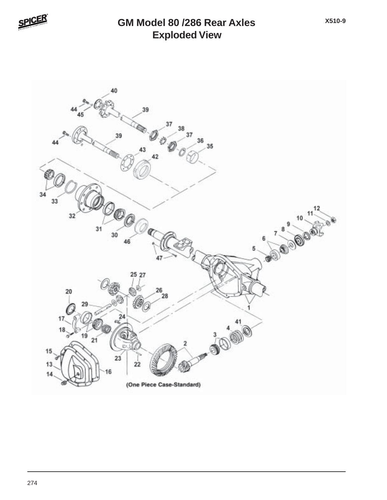

#### **Exploded View GM Model 80 /286 Rear Axles**

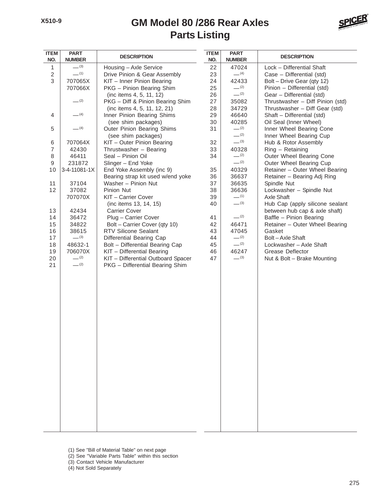### **Parts Listing GM Model 80 /286 Rear Axles**



| <b>ITEM</b><br>NO. | <b>PART</b><br><b>DESCRIPTION</b><br><b>NUMBER</b> |                                    | <b>ITEM</b><br>NO. | <b>PART</b><br><b>NUMBER</b> | <b>DESCRIPTION</b>               |
|--------------------|----------------------------------------------------|------------------------------------|--------------------|------------------------------|----------------------------------|
| $\mathbf{1}$       | $- (3)$                                            | Housing - Axle Service             | 22                 | 47024                        | Lock - Differential Shaft        |
| $\sqrt{2}$         | $-^{(1)}$                                          | Drive Pinion & Gear Assembly       | 23                 | $-$ (4)                      | Case - Differential (std)        |
| 3                  | 707065X                                            | KIT - Inner Pinion Bearing         | 24                 | 42433                        | Bolt - Drive Gear (qty 12)       |
|                    | 707066X                                            | PKG - Pinion Bearing Shim          | 25                 | $-^{(2)}$                    | Pinion - Differential (std)      |
|                    |                                                    | (inc items 4, 5, 11, 12)           | 26                 | $-^{(2)}$                    | Gear - Differential (std)        |
|                    | $-^{(2)}$                                          | PKG - Diff & Pinion Bearing Shim   | 27                 | 35082                        | Thrustwasher - Diff Pinion (std) |
|                    |                                                    | (inc items 4, 5, 11, 12, 21)       | 28                 | 34729                        | Thrustwasher - Diff Gear (std)   |
| 4                  | $-$ (4)                                            | Inner Pinion Bearing Shims         | 29                 | 46640                        | Shaft - Differential (std)       |
|                    |                                                    | (see shim packages)                | 30                 | 40285                        | Oil Seal (Inner Wheel)           |
| 5                  | $- (4)$                                            | Outer Pinion Bearing Shims         | 31                 | $-^{(2)}$                    | Inner Wheel Bearing Cone         |
|                    |                                                    | (see shim packages)                |                    | $-^{(2)}$                    | Inner Wheel Bearing Cup          |
| 6                  | 707064X                                            | KIT - Outer Pinion Bearing         | 32                 | $-^{(3)}$                    | Hub & Rotor Assembly             |
| $\overline{7}$     | 42430                                              | Thrustwasher - Bearing             | 33                 | 40328                        | Ring - Retaining                 |
| 8                  | 46411                                              | Seal - Pinion Oil                  | 34                 | $-^{(2)}$                    | Outer Wheel Bearing Cone         |
| 9                  | 231872                                             | Slinger - End Yoke                 |                    | $-^{(2)}$                    | Outer Wheel Bearing Cup          |
| 10                 | 3-4-11081-1X                                       | End Yoke Assembly (inc 9)          | 35                 | 40329                        | Retainer - Outer Wheel Bearing   |
|                    |                                                    | Bearing strap kit used w/end yoke  | 36                 | 36637                        | Retainer - Bearing Adj Ring      |
| 11                 | 37104                                              | Washer - Pinion Nut                | 37                 | 36635                        | Spindle Nut                      |
| 12                 | 37082                                              | Pinion Nut                         | 38                 | 36636                        | Lockwasher - Spindle Nut         |
|                    | 707070X                                            | KIT - Carrier Cover                | 39                 | $-^{(1)}$                    | <b>Axle Shaft</b>                |
|                    |                                                    | (inc items 13, 14, 15)             | 40                 | $- (3)$                      | Hub Cap (apply silicone sealant  |
| 13                 | 42434                                              | <b>Carrier Cover</b>               |                    |                              | between hub cap & axle shaft)    |
| 14                 | 36472                                              | Plug - Carrier Cover               | 41                 | $-^{(2)}$                    | Baffle - Pinion Bearing          |
| 15                 | 34822                                              | Bolt - Carrier Cover (qty 10)      | 42                 | 46471                        | Retainer - Outer Wheel Bearing   |
| 16                 | 38615                                              | <b>RTV Silicone Sealant</b>        | 43                 | 47045                        | Gasket                           |
| 17                 | $-^{(3)}$                                          | Differential Bearing Cap           | 44                 | $-$ (2)                      | Bolt-Axle Shaft                  |
| 18                 | 48632-1                                            | Bolt - Differential Bearing Cap    | 45                 | $-^{(2)}$                    | Lockwasher - Axle Shaft          |
| 19                 | 706070X                                            | KIT - Differential Bearing         | 46                 | 46247                        | Grease Deflector                 |
| 20                 | $-$ (2)                                            | KIT - Differential Outboard Spacer | 47                 | $-^{(3)}$                    | Nut & Bolt - Brake Mounting      |
| 21                 | $-$ (2)                                            | PKG - Differential Bearing Shim    |                    |                              |                                  |
|                    |                                                    |                                    |                    |                              |                                  |
|                    |                                                    |                                    |                    |                              |                                  |
|                    |                                                    |                                    |                    |                              |                                  |
|                    |                                                    |                                    |                    |                              |                                  |
|                    |                                                    |                                    |                    |                              |                                  |
|                    |                                                    |                                    |                    |                              |                                  |
|                    |                                                    |                                    |                    |                              |                                  |
|                    |                                                    |                                    |                    |                              |                                  |
|                    |                                                    |                                    |                    |                              |                                  |
|                    |                                                    |                                    |                    |                              |                                  |
|                    |                                                    |                                    |                    |                              |                                  |
|                    |                                                    |                                    |                    |                              |                                  |
|                    |                                                    |                                    |                    |                              |                                  |
|                    |                                                    |                                    |                    |                              |                                  |
|                    |                                                    |                                    |                    |                              |                                  |
|                    |                                                    |                                    |                    |                              |                                  |
|                    |                                                    |                                    |                    |                              |                                  |
|                    |                                                    |                                    |                    |                              |                                  |
|                    |                                                    |                                    |                    |                              |                                  |
|                    |                                                    |                                    |                    |                              |                                  |
|                    |                                                    |                                    |                    |                              |                                  |
|                    |                                                    |                                    |                    |                              |                                  |
|                    |                                                    |                                    |                    |                              |                                  |
|                    |                                                    |                                    |                    |                              |                                  |

- (1) See "Bill of Material Table" on next page
- (2) See "Variable Parts Table" within this section
- (3) Contact Vehicle Manufacturer
- (4) Not Sold Separately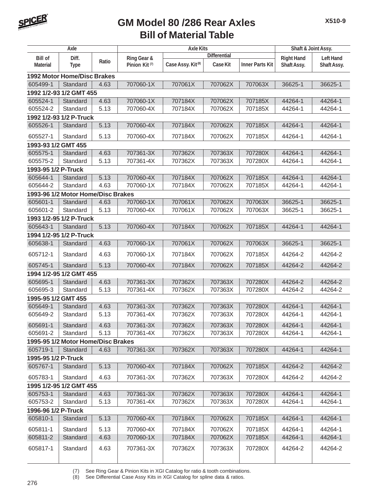

### **Bill of Material Table GM Model 80 /286 Rear Axles**

| Axle                    |                                    | <b>Axle Kits</b> |                           |                               |                     | Shaft & Joint Assy.    |                   |                  |  |  |
|-------------------------|------------------------------------|------------------|---------------------------|-------------------------------|---------------------|------------------------|-------------------|------------------|--|--|
| <b>Bill of</b>          | Diff.                              |                  | Ring Gear &               |                               | <b>Differential</b> |                        | <b>Right Hand</b> | <b>Left Hand</b> |  |  |
| <b>Material</b>         | <b>Type</b>                        | Ratio            | Pinion Kit <sup>(7)</sup> | Case Assy. Kit <sup>(8)</sup> | Case Kit            | <b>Inner Parts Kit</b> | Shaft Assy.       | Shaft Assy.      |  |  |
|                         | <b>1992 Motor Home/Disc Brakes</b> |                  |                           |                               |                     |                        |                   |                  |  |  |
| 605499-1                | Standard                           | 4.63             | 707060-1X                 | 707061X                       | 707062X             | 707063X                | 36625-1           | 36625-1          |  |  |
|                         | 1992 1/2-93 1/2 GMT 455            |                  |                           |                               |                     |                        |                   |                  |  |  |
| 605524-1                | Standard                           | 4.63             | 707060-1X                 | 707184X                       | 707062X             | 707185X                | 44264-1           | 44264-1          |  |  |
| 605524-2                | Standard                           | 5.13             | 707060-4X                 | 707184X                       | 707062X             | 707185X                | 44264-1           | 44264-1          |  |  |
|                         | 1992 1/2-93 1/2 P-Truck            |                  |                           |                               |                     |                        |                   |                  |  |  |
| 605526-1                | Standard                           | 5.13             | 707060-4X                 | 707184X                       | 707062X             | 707185X                | 44264-1           | 44264-1          |  |  |
| 605527-1                | Standard                           | 5.13             | 707060-4X                 | 707184X                       | 707062X             | 707185X                | 44264-1           | 44264-1          |  |  |
| 1993-93 1/2 GMT 455     |                                    |                  |                           |                               |                     |                        |                   |                  |  |  |
| 605575-1                | Standard                           | 4.63             | 707361-3X                 | 707362X                       | 707363X             | 707280X                | 44264-1           | 44264-1          |  |  |
| 605575-2                | Standard                           | 5.13             | 707361-4X                 | 707362X                       | 707363X             | 707280X                | 44264-1           | 44264-1          |  |  |
| 1993-95 1/2 P-Truck     |                                    |                  |                           |                               |                     |                        |                   |                  |  |  |
| 605644-1                | Standard                           | 5.13             | 707060-4X                 | 707184X                       | 707062X             | 707185X                | 44264-1           | 44264-1          |  |  |
| 605644-2                | Standard                           | 4.63             | 707060-1X                 | 707184X                       | 707062X             | 707185X                | 44264-1           | 44264-1          |  |  |
|                         | 1993-96 1/2 Motor Home/Disc Brakes |                  |                           |                               |                     |                        |                   |                  |  |  |
| 605601-1                | Standard                           | 4.63             | 707060-1X                 | 707061X                       | 707062X             | 707063X                | 36625-1           | 36625-1          |  |  |
| 605601-2                | Standard                           | 5.13             | 707060-4X                 | 707061X                       | 707062X             | 707063X                | 36625-1           | 36625-1          |  |  |
|                         | 1993 1/2-95 1/2 P-Truck            |                  |                           |                               |                     |                        |                   |                  |  |  |
| 605643-1                | Standard                           | 5.13             | 707060-4X                 | 707184X                       | 707062X             | 707185X                | 44264-1           | 44264-1          |  |  |
|                         | 1994 1/2-95 1/2 P-Truck            |                  |                           |                               |                     |                        |                   |                  |  |  |
| 605638-1                | Standard                           | 4.63             | 707060-1X                 | 707061X                       | 707062X             | 707063X                | 36625-1           | 36625-1          |  |  |
| 605712-1                | Standard                           | 4.63             | 707060-1X                 | 707184X                       | 707062X             | 707185X                | 44264-2           | 44264-2          |  |  |
| 605745-1                | Standard                           | 5.13             | 707060-4X                 | 707184X                       | 707062X             | 707185X                | 44264-2           | 44264-2          |  |  |
|                         | 1994 1/2-95 1/2 GMT 455            |                  |                           |                               |                     |                        |                   |                  |  |  |
| 605695-1                | Standard                           | 4.63             | 707361-3X                 | 707362X                       | 707363X             | 707280X                | 44264-2           | 44264-2          |  |  |
| 605695-3                | Standard                           | 5.13             | 707361-4X                 | 707362X                       | 707363X             | 707280X                | 44264-2           | 44264-2          |  |  |
| 1995-95 1/2 GMT 455     |                                    |                  |                           |                               |                     |                        |                   |                  |  |  |
| 605649-1                | Standard                           | 4.63             | 707361-3X                 | 707362X                       | 707363X             | 707280X                | 44264-1           | 44264-1          |  |  |
| 605649-2                | Standard                           | 5.13             | 707361-4X                 | 707362X                       | 707363X             | 707280X                | 44264-1           | 44264-1          |  |  |
| 605691-1                | Standard                           | 4.63             | 707361-3X                 | 707362X                       | 707363X             | 707280X                | 44264-1           | 44264-1          |  |  |
| 605691-2                | Standard                           | 5.13             | 707361-4X                 | 707362X                       | 707363X             | 707280X                | 44264-1           | 44264-1          |  |  |
|                         | 1995-95 1/2 Motor Home/Disc Brakes |                  |                           |                               |                     |                        |                   |                  |  |  |
| 605719-1                | Standard                           | 4.63             | 707361-3X                 | 707362X                       | 707363X             | 707280X                | 44264-1           | 44264-1          |  |  |
| 1995-95 1/2 P-Truck     |                                    |                  |                           |                               |                     |                        |                   |                  |  |  |
| 605767-1                | Standard                           | 5.13             | 707060-4X                 | 707184X                       | 707062X             | 707185X                | 44264-2           | 44264-2          |  |  |
| 605783-1                | Standard                           | 4.63             | 707361-3X                 | 707362X                       | 707363X             | 707280X                | 44264-2           | 44264-2          |  |  |
| 1995 1/2-95 1/2 GMT 455 |                                    |                  |                           |                               |                     |                        |                   |                  |  |  |
| 605753-1                | Standard                           | 4.63             | 707361-3X                 | 707362X                       | 707363X             | 707280X                | 44264-1           | 44264-1          |  |  |
| 605753-2                | Standard                           | 5.13             | 707361-4X                 | 707362X                       | 707363X             | 707280X                | 44264-1           | 44264-1          |  |  |
| 1996-96 1/2 P-Truck     |                                    |                  |                           |                               |                     |                        |                   |                  |  |  |
| 605810-1                | Standard                           | 5.13             | 707060-4X                 | 707184X                       | 707062X             | 707185X                | 44264-1           | 44264-1          |  |  |
| 605811-1                | Standard                           | 5.13             | 707060-4X                 | 707184X                       | 707062X             | 707185X                | 44264-1           | 44264-1          |  |  |
| 605811-2                | Standard                           | 4.63             | 707060-1X                 | 707184X                       | 707062X             | 707185X                | 44264-1           | 44264-1          |  |  |
| 605817-1                | Standard                           | 4.63             | 707361-3X                 | 707362X                       | 707363X             | 707280X                | 44264-2           | 44264-2          |  |  |

(7) See Ring Gear & Pinion Kits in XGI Catalog for ratio & tooth combinations.

(8) See Differential Case Assy Kits in XGI Catalog for spline data & ratios.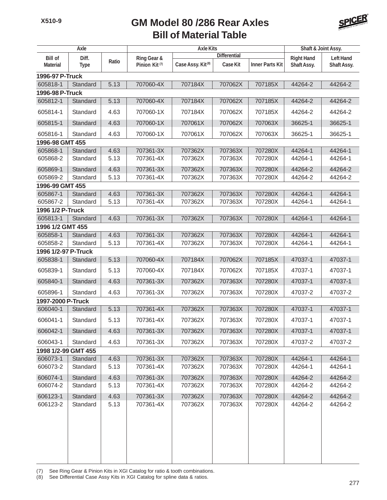### **Bill of Material Table GM Model 80 /286 Rear Axles**



| Axle                              |                      |       | <b>Axle Kits</b>                         |                               |                                        |                        | Shaft & Joint Assy.              |                                 |  |
|-----------------------------------|----------------------|-------|------------------------------------------|-------------------------------|----------------------------------------|------------------------|----------------------------------|---------------------------------|--|
| <b>Bill of</b><br><b>Material</b> | Diff.<br><b>Type</b> | Ratio | Ring Gear &<br>Pinion Kit <sup>(7)</sup> | Case Assy. Kit <sup>(8)</sup> | <b>Differential</b><br><b>Case Kit</b> | <b>Inner Parts Kit</b> | <b>Right Hand</b><br>Shaft Assy. | <b>Left Hand</b><br>Shaft Assy. |  |
| 1996-97 P-Truck                   |                      |       |                                          |                               |                                        |                        |                                  |                                 |  |
| 605818-1                          | Standard             | 5.13  | 707060-4X                                | 707184X                       | 707062X                                | 707185X                | 44264-2                          | 44264-2                         |  |
|                                   | 1996-98 P-Truck      |       |                                          |                               |                                        |                        |                                  |                                 |  |
| 605812-1                          | Standard             | 5.13  | 707060-4X                                | 707184X                       | 707062X                                | 707185X                | 44264-2                          | 44264-2                         |  |
| 605814-1                          | Standard             | 4.63  | 707060-1X                                | 707184X                       | 707062X                                | 707185X                | 44264-2                          | 44264-2                         |  |
| 605815-1                          | Standard             | 4.63  | 707060-1X                                | 707061X                       | 707062X                                | 707063X                | 36625-1                          | 36625-1                         |  |
| 605816-1                          | Standard             | 4.63  | 707060-1X                                | 707061X                       | 707062X                                | 707063X                | 36625-1                          | 36625-1                         |  |
| 1996-98 GMT 455                   |                      |       |                                          |                               |                                        |                        |                                  |                                 |  |
| 605868-1                          | Standard             | 4.63  | 707361-3X                                | 707362X                       | 707363X                                | 707280X                | 44264-1                          | 44264-1                         |  |
| 605868-2                          | Standard             | 5.13  | 707361-4X                                | 707362X                       | 707363X                                | 707280X                | 44264-1                          | 44264-1                         |  |
| 605869-1                          | Standard             | 4.63  | 707361-3X                                | 707362X                       | 707363X                                | 707280X                | 44264-2                          | 44264-2                         |  |
| 605869-2                          | Standard             | 5.13  | 707361-4X                                | 707362X                       | 707363X                                | 707280X                | 44264-2                          | 44264-2                         |  |
| 1996-99 GMT 455                   |                      |       |                                          |                               |                                        |                        |                                  |                                 |  |
| 605867-1                          | Standard             | 4.63  | 707361-3X                                | 707362X                       | 707363X                                | 707280X                | 44264-1                          | 44264-1                         |  |
| 605867-2                          | Standard             | 5.13  | 707361-4X                                | 707362X                       | 707363X                                | 707280X                | 44264-1                          | 44264-1                         |  |
| 1996 1/2 P-Truck                  |                      |       |                                          |                               |                                        |                        |                                  |                                 |  |
| 605813-1                          | Standard             | 4.63  | 707361-3X                                | 707362X                       | 707363X                                | 707280X                | 44264-1                          | 44264-1                         |  |
| 1996 1/2 GMT 455                  |                      |       |                                          |                               |                                        |                        |                                  |                                 |  |
| 605858-1                          | Standard             | 4.63  | 707361-3X                                | 707362X                       | 707363X                                | 707280X                | 44264-1                          | 44264-1                         |  |
| 605858-2                          | Standard             | 5.13  | 707361-4X                                | 707362X                       | 707363X                                | 707280X                | 44264-1                          | 44264-1                         |  |
| 1996 1/2-97 P-Truck<br>605838-1   | Standard             | 5.13  | 707060-4X                                | 707184X                       | 707062X                                | 707185X                | 47037-1                          | 47037-1                         |  |
|                                   |                      |       |                                          |                               |                                        |                        |                                  |                                 |  |
| 605839-1                          | Standard             | 5.13  | 707060-4X                                | 707184X                       | 707062X                                | 707185X                | 47037-1                          | 47037-1                         |  |
| 605840-1                          | Standard             | 4.63  | 707361-3X                                | 707362X                       | 707363X                                | 707280X                | 47037-1                          | 47037-1                         |  |
| 605896-1                          | Standard             | 4.63  | 707361-3X                                | 707362X                       | 707363X                                | 707280X                | 47037-2                          | 47037-2                         |  |
| 1997-2000 P-Truck                 |                      |       |                                          |                               |                                        |                        |                                  |                                 |  |
| 606040-1                          | Standard             | 5.13  | 707361-4X                                | 707362X                       | 707363X                                | 707280X                | 47037-1                          | 47037-1                         |  |
| 606041-1                          | Standard             | 5.13  | 707361-4X                                | 707362X                       | 707363X                                | 707280X                | 47037-1                          | 47037-1                         |  |
| 606042-1                          | Standard             | 4.63  | 707361-3X                                | 707362X                       | 707363X                                | 707280X                | 47037-1                          | 47037-1                         |  |
| 606043-1                          | Standard             | 4.63  | 707361-3X                                | 707362X                       | 707363X                                | 707280X                | 47037-2                          | 47037-2                         |  |
| 1998 1/2-99 GMT 455               |                      |       |                                          |                               |                                        |                        |                                  |                                 |  |
| 606073-1                          | Standard             | 4.63  | 707361-3X                                | 707362X                       | 707363X                                | 707280X                | 44264-1                          | 44264-1                         |  |
| 606073-2                          | Standard             | 5.13  | 707361-4X                                | 707362X                       | 707363X                                | 707280X                | 44264-1                          | 44264-1                         |  |
| 606074-1                          | Standard             | 4.63  | 707361-3X                                | 707362X                       | 707363X                                | 707280X                | 44264-2                          | 44264-2                         |  |
| 606074-2                          | Standard             | 5.13  | 707361-4X                                | 707362X                       | 707363X                                | 707280X                | 44264-2                          | 44264-2                         |  |
| 606123-1                          | Standard             | 4.63  | 707361-3X                                | 707362X                       | 707363X                                | 707280X                | 44264-2                          | 44264-2                         |  |
| 606123-2                          | Standard             | 5.13  | 707361-4X                                | 707362X                       | 707363X                                | 707280X                | 44264-2                          | 44264-2                         |  |
|                                   |                      |       |                                          |                               |                                        |                        |                                  |                                 |  |

(7) See Ring Gear & Pinion Kits in XGI Catalog for ratio & tooth combinations.

(8) See Differential Case Assy Kits in XGI Catalog for spline data & ratios.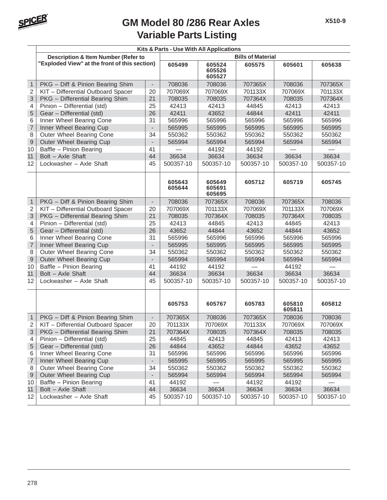

## **Variable Parts Listing GM Model 80 /286 Rear Axles**

|                  | Kits & Parts - Use With All Applications       |                          |                          |                            |           |                  |           |  |  |  |
|------------------|------------------------------------------------|--------------------------|--------------------------|----------------------------|-----------|------------------|-----------|--|--|--|
|                  | <b>Description &amp; Item Number (Refer to</b> |                          | <b>Bills of Material</b> |                            |           |                  |           |  |  |  |
|                  | "Exploded View" at the front of this section)  |                          | 605499                   | 605524<br>605526<br>605527 | 605575    | 605601           | 605638    |  |  |  |
| $\mathbf{1}$     | PKG - Diff & Pinion Bearing Shim               | $\overline{\phantom{a}}$ | 708036                   | 708036                     | 707365X   | 708036           | 707365X   |  |  |  |
| $\overline{c}$   | KIT - Differential Outboard Spacer             | 20                       | 707069X                  | 707069X                    | 701133X   | 707069X          | 701133X   |  |  |  |
| 3                | PKG - Differential Bearing Shim                | 21                       | 708035                   | 708035                     | 707364X   | 708035           | 707364X   |  |  |  |
| 4                | Pinion - Differential (std)                    | 25                       | 42413                    | 42413                      | 44845     | 42413            | 42413     |  |  |  |
| 5                | Gear - Differential (std)                      | 26<br>31                 | 42411                    | 43652                      | 44844     | 42411            | 42411     |  |  |  |
| 6                | Inner Wheel Bearing Cone                       |                          | 565996                   | 565996                     | 565996    | 565996           | 565996    |  |  |  |
| $\overline{7}$   | Inner Wheel Bearing Cup                        | $\overline{\phantom{a}}$ | 565995                   | 565995                     | 565995    | 565995           | 565995    |  |  |  |
| 8                | Outer Wheel Bearing Cone                       | 34                       | 550362                   | 550362                     | 550362    | 550362           | 550362    |  |  |  |
| $\mathsf 9$      | Outer Wheel Bearing Cup                        | $\overline{\phantom{a}}$ | 565994                   | 565994                     | 565994    | 565994           | 565994    |  |  |  |
| 10               | Baffle - Pinion Bearing                        | 41                       |                          | 44192                      | 44192     |                  |           |  |  |  |
| 11               | Bolt - Axle Shaft                              | 44                       | 36634                    | 36634                      | 36634     | 36634            | 36634     |  |  |  |
| 12               | Lockwasher - Axle Shaft                        | 45                       | 500357-10                | 500357-10                  | 500357-10 | 500357-10        | 500357-10 |  |  |  |
|                  |                                                |                          | 605643<br>605644         | 605649<br>605691<br>605695 | 605712    | 605719           | 605745    |  |  |  |
| $\mathbf{1}$     | PKG - Diff & Pinion Bearing Shim               | $\overline{\phantom{a}}$ | 708036                   | 707365X                    | 708036    | 707365X          | 708036    |  |  |  |
| $\overline{2}$   | KIT - Differential Outboard Spacer             | 20                       | 707069X                  | 701133X                    | 707069X   | 701133X          | 707069X   |  |  |  |
| 3                | PKG - Differential Bearing Shim                | 21                       | 708035                   | 707364X                    | 708035    | 707364X          | 708035    |  |  |  |
| 4                | Pinion - Differential (std)                    | 25                       | 42413                    | 44845                      | 42413     | 44845            | 42413     |  |  |  |
| 5                | Gear - Differential (std)                      | 26                       | 43652                    | 44844                      | 43652     | 44844            | 43652     |  |  |  |
| 6                | Inner Wheel Bearing Cone                       | 31                       | 565996                   | 565996                     | 565996    | 565996           | 565996    |  |  |  |
| $\overline{7}$   | Inner Wheel Bearing Cup                        | $\overline{\phantom{a}}$ | 565995                   | 565995                     | 565995    | 565995           | 565995    |  |  |  |
| 8                | Outer Wheel Bearing Cone                       | 34                       | 550362                   | 550362                     | 550362    | 550362           | 550362    |  |  |  |
| $\mathsf 9$      | Outer Wheel Bearing Cup                        | $\overline{\phantom{a}}$ | 565994                   | 565994                     | 565994    | 565994           | 565994    |  |  |  |
| 10               | Baffle - Pinion Bearing                        | 41                       | 44192                    | 44192                      |           | 44192            |           |  |  |  |
| 11               | Bolt - Axle Shaft                              | 44                       | 36634                    | 36634                      | 36634     | 36634            | 36634     |  |  |  |
| 12               | Lockwasher - Axle Shaft                        | 45                       | 500357-10                | 500357-10                  | 500357-10 | 500357-10        | 500357-10 |  |  |  |
|                  |                                                |                          | 605753                   | 605767                     | 605783    | 605810<br>605811 | 605812    |  |  |  |
| $\mathbf{1}$     | PKG - Diff & Pinion Bearing Shim               | $\blacksquare$           | 707365X                  | 708036                     | 707365X   | 708036           | 708036    |  |  |  |
| 2                | KIT - Differential Outboard Spacer             | 20                       | 701133X                  | 707069X                    | 701133X   | 707069X          | 707069X   |  |  |  |
| 3                | PKG - Differential Bearing Shim                | 21                       | 707364X                  | 708035                     | 707364X   | 708035           | 708035    |  |  |  |
| 4                | Pinion - Differential (std)                    | 25                       | 44845                    | 42413                      | 44845     | 42413            | 42413     |  |  |  |
| 5                | Gear - Differential (std)                      | 26                       | 44844                    | 43652                      | 44844     | 43652            | 43652     |  |  |  |
| 6                | Inner Wheel Bearing Cone                       | 31                       | 565996                   | 565996                     | 565996    | 565996           | 565996    |  |  |  |
| $\boldsymbol{7}$ | Inner Wheel Bearing Cup                        |                          | 565995                   | 565995                     | 565995    | 565995           | 565995    |  |  |  |
| 8                | Outer Wheel Bearing Cone                       | 34                       | 550362                   | 550362                     | 550362    | 550362           | 550362    |  |  |  |
| $\overline{9}$   | Outer Wheel Bearing Cup                        | $\overline{\phantom{a}}$ | 565994                   | 565994                     | 565994    | 565994           | 565994    |  |  |  |
| 10               | Baffle - Pinion Bearing                        | 41                       | 44192                    |                            | 44192     | 44192            |           |  |  |  |
| 11               | Bolt - Axle Shaft                              | 44                       | 36634                    | 36634                      | 36634     | 36634            | 36634     |  |  |  |
| 12               | Lockwasher - Axle Shaft                        | 45                       | 500357-10                | 500357-10                  | 500357-10 | 500357-10        | 500357-10 |  |  |  |